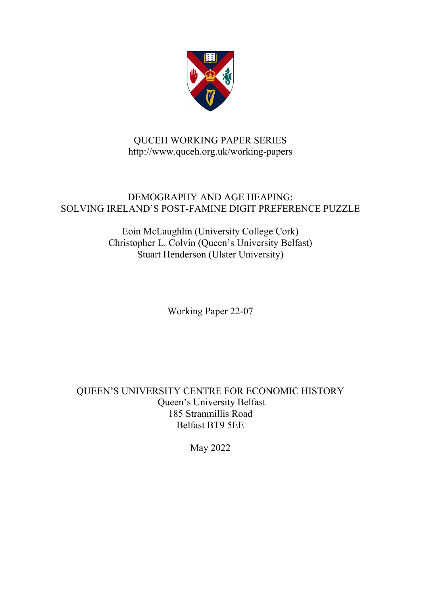

# QUCEH WORKING PAPER SERIES http://www.quceh.org.uk/working-papers

# DEMOGRAPHY AND AGE HEAPING: SOLVING IRELAND'S POST-FAMINE DIGIT PREFERENCE PUZZLE

Eoin McLaughlin (University College Cork) Christopher L. Colvin (Queen's University Belfast) Stuart Henderson (Ulster University)

Working Paper 22-07

QUEEN'S UNIVERSITY CENTRE FOR ECONOMIC HISTORY Queen's University Belfast 185 Stranmillis Road Belfast BT9 5EE

May 2022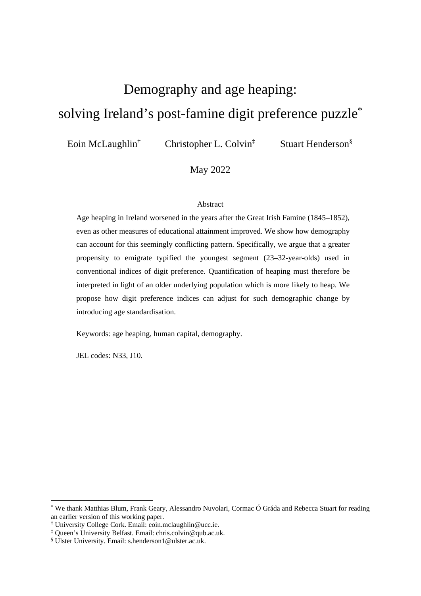# Demography and age heaping: solving Ireland's post-famine digit preference puzzle\*

Eoin McLaughlin†

Christopher L. Colvin‡

Stuart Henderson§

#### May 2022

#### Abstract

Age heaping in Ireland worsened in the years after the Great Irish Famine (1845–1852), even as other measures of educational attainment improved. We show how demography can account for this seemingly conflicting pattern. Specifically, we argue that a greater propensity to emigrate typified the youngest segment (23–32-year-olds) used in conventional indices of digit preference. Quantification of heaping must therefore be interpreted in light of an older underlying population which is more likely to heap. We propose how digit preference indices can adjust for such demographic change by introducing age standardisation.

Keywords: age heaping, human capital, demography.

JEL codes: N33, J10.

<sup>\*</sup> We thank Matthias Blum, Frank Geary, Alessandro Nuvolari, Cormac Ó Gráda and Rebecca Stuart for reading an earlier version of this working paper.

<sup>†</sup> University College Cork. Email: eoin.mclaughlin@ucc.ie.

<sup>‡</sup> Queen's University Belfast. Email: chris.colvin@qub.ac.uk.

<sup>§</sup> Ulster University. Email: s.henderson1@ulster.ac.uk.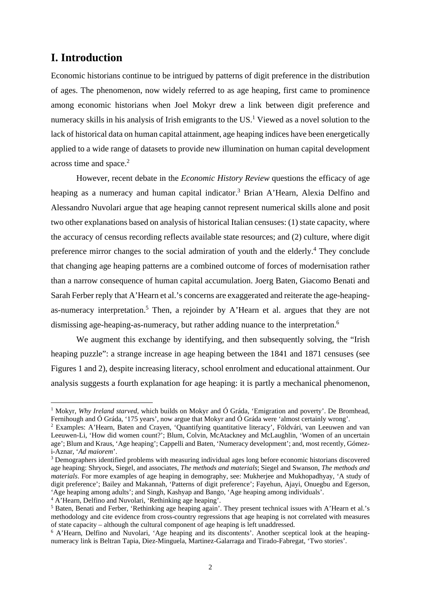## **I. Introduction**

Economic historians continue to be intrigued by patterns of digit preference in the distribution of ages. The phenomenon, now widely referred to as age heaping, first came to prominence among economic historians when Joel Mokyr drew a link between digit preference and numeracy skills in his analysis of Irish emigrants to the US.<sup>1</sup> Viewed as a novel solution to the lack of historical data on human capital attainment, age heaping indices have been energetically applied to a wide range of datasets to provide new illumination on human capital development across time and space.<sup>2</sup>

However, recent debate in the *Economic History Review* questions the efficacy of age heaping as a numeracy and human capital indicator.<sup>3</sup> Brian A'Hearn, Alexia Delfino and Alessandro Nuvolari argue that age heaping cannot represent numerical skills alone and posit two other explanations based on analysis of historical Italian censuses: (1) state capacity, where the accuracy of census recording reflects available state resources; and (2) culture, where digit preference mirror changes to the social admiration of youth and the elderly.<sup>4</sup> They conclude that changing age heaping patterns are a combined outcome of forces of modernisation rather than a narrow consequence of human capital accumulation. Joerg Baten, Giacomo Benati and Sarah Ferber reply that A'Hearn et al.'s concerns are exaggerated and reiterate the age-heapingas-numeracy interpretation.<sup>5</sup> Then, a rejoinder by A'Hearn et al. argues that they are not dismissing age-heaping-as-numeracy, but rather adding nuance to the interpretation.<sup>6</sup>

We augment this exchange by identifying, and then subsequently solving, the "Irish" heaping puzzle": a strange increase in age heaping between the 1841 and 1871 censuses (see Figures 1 and 2), despite increasing literacy, school enrolment and educational attainment. Our analysis suggests a fourth explanation for age heaping: it is partly a mechanical phenomenon,

<sup>&</sup>lt;sup>1</sup> Mokyr, *Why Ireland starved*, which builds on Mokyr and Ó Gráda, 'Emigration and poverty'. De Bromhead, Fernihough and Ó Gráda, '175 years', now argue that Mokyr and Ó Gráda were 'almost certainly wrong'. 2

Examples: A'Hearn, Baten and Crayen, 'Quantifying quantitative literacy', Földvári, van Leeuwen and van Leeuwen-Li, 'How did women count?'; Blum, Colvin, McAtackney and McLaughlin, 'Women of an uncertain age'; Blum and Kraus, 'Age heaping'; Cappelli and Baten, 'Numeracy development'; and, most recently, Gómezi-Aznar, '*Ad maiorem*'.

Demographers identified problems with measuring individual ages long before economic historians discovered age heaping: Shryock, Siegel, and associates, *The methods and materials*; Siegel and Swanson, *The methods and materials*. For more examples of age heaping in demography, see: Mukherjee and Mukhopadhyay, 'A study of digit preference'; Bailey and Makannah, 'Patterns of digit preference'; Fayehun, Ajayi, Onuegbu and Egerson, 'Age heaping among adults'; and Singh, Kashyap and Bango, 'Age heaping among individuals'.

<sup>4</sup> A'Hearn, Delfino and Nuvolari, 'Rethinking age heaping'.

<sup>&</sup>lt;sup>5</sup> Baten, Benati and Ferber, 'Rethinking age heaping again'. They present technical issues with A'Hearn et al.'s methodology and cite evidence from cross-country regressions that age heaping is not correlated with measures of state capacity – although the cultural component of age heaping is left unaddressed. 6

<sup>&</sup>lt;sup>6</sup> A'Hearn, Delfino and Nuvolari, 'Age heaping and its discontents'. Another sceptical look at the heapingnumeracy link is Beltran Tapia, Diez-Minguela, Martinez-Galarraga and Tirado-Fabregat, 'Two stories'.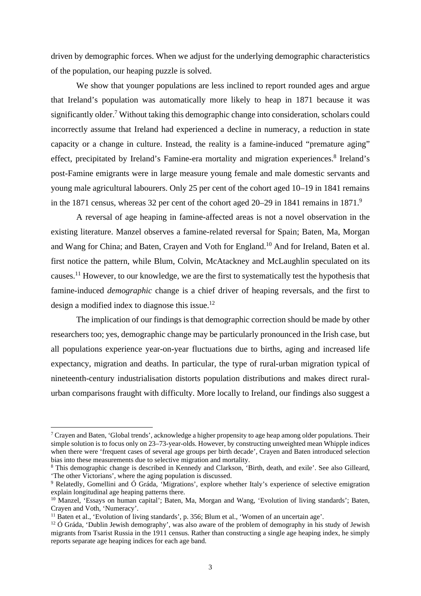driven by demographic forces. When we adjust for the underlying demographic characteristics of the population, our heaping puzzle is solved.

We show that younger populations are less inclined to report rounded ages and argue that Ireland's population was automatically more likely to heap in 1871 because it was significantly older.<sup>7</sup> Without taking this demographic change into consideration, scholars could incorrectly assume that Ireland had experienced a decline in numeracy, a reduction in state capacity or a change in culture. Instead, the reality is a famine-induced "premature aging" effect, precipitated by Ireland's Famine-era mortality and migration experiences.<sup>8</sup> Ireland's post-Famine emigrants were in large measure young female and male domestic servants and young male agricultural labourers. Only 25 per cent of the cohort aged 10–19 in 1841 remains in the 1871 census, whereas 32 per cent of the cohort aged 20–29 in 1841 remains in 1871.<sup>9</sup>

A reversal of age heaping in famine-affected areas is not a novel observation in the existing literature. Manzel observes a famine-related reversal for Spain; Baten, Ma, Morgan and Wang for China; and Baten, Crayen and Voth for England.<sup>10</sup> And for Ireland, Baten et al. first notice the pattern, while Blum, Colvin, McAtackney and McLaughlin speculated on its causes.11 However, to our knowledge, we are the first to systematically test the hypothesis that famine-induced *demographic* change is a chief driver of heaping reversals, and the first to design a modified index to diagnose this issue.12

The implication of our findings is that demographic correction should be made by other researchers too; yes, demographic change may be particularly pronounced in the Irish case, but all populations experience year-on-year fluctuations due to births, aging and increased life expectancy, migration and deaths. In particular, the type of rural-urban migration typical of nineteenth-century industrialisation distorts population distributions and makes direct ruralurban comparisons fraught with difficulty. More locally to Ireland, our findings also suggest a

<sup>&</sup>lt;sup>7</sup> Crayen and Baten, 'Global trends', acknowledge a higher propensity to age heap among older populations. Their simple solution is to focus only on 23–73-year-olds. However, by constructing unweighted mean Whipple indices when there were 'frequent cases of several age groups per birth decade', Crayen and Baten introduced selection bias into these measurements due to selective migration and mortality.

<sup>8</sup> This demographic change is described in Kennedy and Clarkson, 'Birth, death, and exile'. See also Gilleard, 'The other Victorians', where the aging population is discussed.

<sup>9</sup> Relatedly, Gomellini and Ó Gráda, 'Migrations', explore whether Italy's experience of selective emigration explain longitudinal age heaping patterns there.

<sup>10</sup> Manzel, 'Essays on human capital'; Baten, Ma, Morgan and Wang, 'Evolution of living standards'; Baten, Crayen and Voth, 'Numeracy'.

<sup>&</sup>lt;sup>11</sup> Baten et al., 'Evolution of living standards', p. 356; Blum et al., 'Women of an uncertain age'.

<sup>&</sup>lt;sup>12</sup> Ó Gráda, 'Dublin Jewish demography', was also aware of the problem of demography in his study of Jewish migrants from Tsarist Russia in the 1911 census. Rather than constructing a single age heaping index, he simply reports separate age heaping indices for each age band.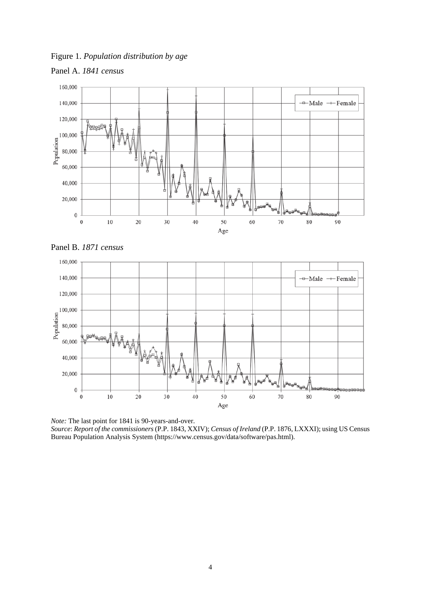Figure 1. *Population distribution by age* 



 $\boldsymbol{0}$  $\mathbf{0}$ 

 $10\,$ 

20

 $30$ 



*Note:* The last point for 1841 is 90-years-and-over. *Source*: *Report of the commissioners* (P.P. 1843, XXIV); *Census of Ireland* (P.P. 1876, LXXXI); using US Census Bureau Population Analysis System (https://www.census.gov/data/software/pas.html).

50

Age

60

 $70$ 

80

90

 $40$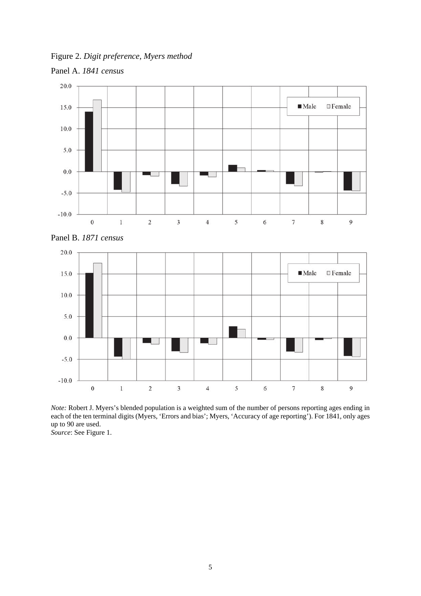Figure 2. *Digit preference, Myers method* 





*Note:* Robert J. Myers's blended population is a weighted sum of the number of persons reporting ages ending in each of the ten terminal digits (Myers, 'Errors and bias'; Myers, 'Accuracy of age reporting'). For 1841, only ages up to 90 are used. *Source*: See Figure 1.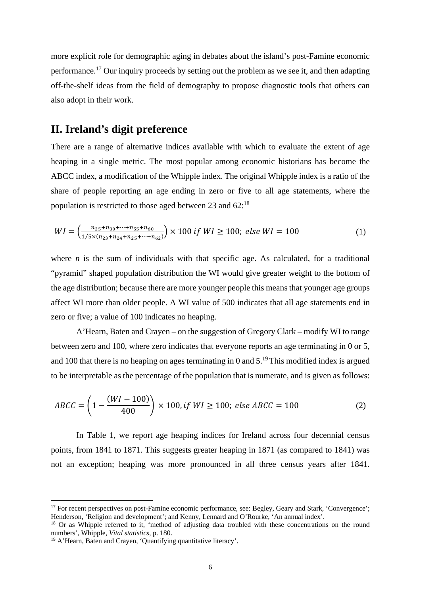more explicit role for demographic aging in debates about the island's post-Famine economic performance.<sup>17</sup> Our inquiry proceeds by setting out the problem as we see it, and then adapting off-the-shelf ideas from the field of demography to propose diagnostic tools that others can also adopt in their work.

## **II. Ireland's digit preference**

There are a range of alternative indices available with which to evaluate the extent of age heaping in a single metric. The most popular among economic historians has become the ABCC index, a modification of the Whipple index. The original Whipple index is a ratio of the share of people reporting an age ending in zero or five to all age statements, where the population is restricted to those aged between 23 and 62:18

$$
WI = \left(\frac{n_{25} + n_{30} + \dots + n_{55} + n_{60}}{1/5 \times (n_{23} + n_{24} + n_{25} + \dots + n_{62})}\right) \times 100 \text{ if } WI \ge 100; \text{ else } WI = 100 \tag{1}
$$

where  $n$  is the sum of individuals with that specific age. As calculated, for a traditional "pyramid" shaped population distribution the WI would give greater weight to the bottom of the age distribution; because there are more younger people this means that younger age groups affect WI more than older people. A WI value of 500 indicates that all age statements end in zero or five; a value of 100 indicates no heaping.

A'Hearn, Baten and Crayen – on the suggestion of Gregory Clark – modify WI to range between zero and 100, where zero indicates that everyone reports an age terminating in 0 or 5, and 100 that there is no heaping on ages terminating in 0 and  $5.^{19}$  This modified index is argued to be interpretable as the percentage of the population that is numerate, and is given as follows:

$$
ABCC = \left(1 - \frac{(WI - 100)}{400}\right) \times 100, \text{if } WI \ge 100; \text{ else } ABCC = 100 \tag{2}
$$

In Table 1, we report age heaping indices for Ireland across four decennial census points, from 1841 to 1871. This suggests greater heaping in 1871 (as compared to 1841) was not an exception; heaping was more pronounced in all three census years after 1841.

<sup>&</sup>lt;sup>17</sup> For recent perspectives on post-Famine economic performance, see: Begley, Geary and Stark, 'Convergence'; Henderson, 'Religion and development'; and Kenny, Lennard and O'Rourke, 'An annual index'.

<sup>&</sup>lt;sup>18</sup> Or as Whipple referred to it, 'method of adjusting data troubled with these concentrations on the round numbers', Whipple, *Vital statistics*, p. 180.

<sup>&</sup>lt;sup>19</sup> A'Hearn, Baten and Crayen, 'Quantifying quantitative literacy'.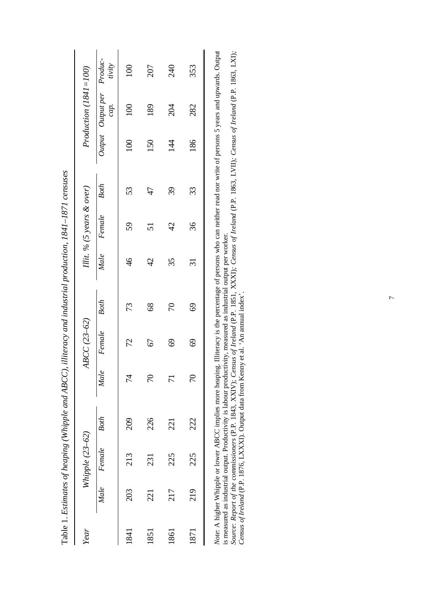|      |      |                 | Table 1. Estimates of heaping (Whipple and ABCC), |                 |             |               | illiteracy and industrial production, 1841–1871 censuses |                           |             |                  |                                                                                                                                                                                 |                   |
|------|------|-----------------|---------------------------------------------------|-----------------|-------------|---------------|----------------------------------------------------------|---------------------------|-------------|------------------|---------------------------------------------------------------------------------------------------------------------------------------------------------------------------------|-------------------|
| Year |      | Whipple (23-62) |                                                   |                 | ABCC(23-62) |               |                                                          | Illit. % (5 years & over) |             |                  | Production $(1841 = 100)$                                                                                                                                                       |                   |
|      | Male | Female          | Both                                              | Male            | Female      | Both          | Male                                                     | Female                    | <b>Both</b> |                  | Output Output per<br>cap.                                                                                                                                                       | Produc-<br>tivity |
| 1841 | 203  | 213             | 209                                               | 74              | 72          | 73            | $\frac{6}{4}$                                            | 59                        | 53          | $\overline{100}$ | 100                                                                                                                                                                             | 100               |
| 1851 | 221  | 231             | 226                                               | 70              | 67          | $\frac{8}{8}$ | $\overline{c}$                                           | 51                        | 47          | 150              | 189                                                                                                                                                                             | 207               |
| 1861 | 217  | 225             | 221                                               | 71              | 69          | 70            | 35                                                       | $\frac{1}{4}$             | 39          | $\frac{4}{4}$    | 204                                                                                                                                                                             | 240               |
| 1871 | 219  | 225             | 222                                               | $\overline{70}$ | 69          | 69            | $\overline{\mathfrak{Z}}$                                | 36                        | 33          | 186              | 282                                                                                                                                                                             | 353               |
|      |      |                 |                                                   |                 |             |               |                                                          |                           |             |                  | <i>Note:</i> A higher Whipple or lower ABCC implies more heaping. Illiteracy is the percentage of persons who can neither read nor write of persons 5 years and upwards. Output |                   |

| ֧֖֖֚֚֚֚֚֝֝<br>֧֚֚֝<br>֧֖֖֚֚֚֚֝ <u>֚</u><br>ֺ֚֝<br>֚֬                                                                                                                           | l |  |
|--------------------------------------------------------------------------------------------------------------------------------------------------------------------------------|---|--|
| c indicting of output par unoriza-<br>views measured as industrial output per with<br>$\cdots$ is labour<br>is measured as industrial output. Proc                             |   |  |
| nsus of Ireland (P.P. 1851, XXXI); Census of Ireland (P.P. 1863, LVII); Census of Ireland (P.P. 1863, LXI);<br>಼<br>ource: Report of the commissioners $(P.P. 1843, XXIV)$ ; ( |   |  |
| $ny$ et al. 'An annual index'<br>nota from Kenny<br>us of Ireland (P.P. 1876, LXXXI). Output da<br>oneur o                                                                     |   |  |

 $\overline{7}$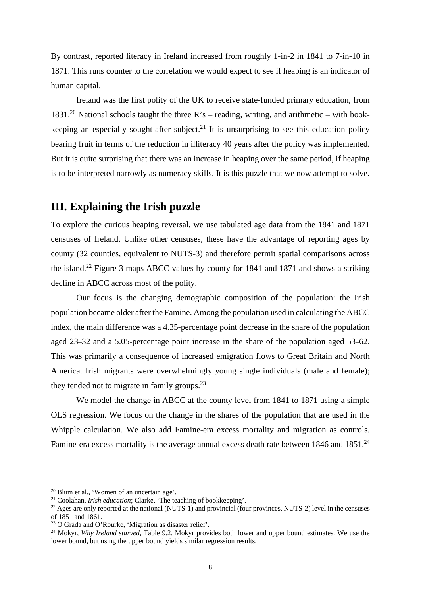By contrast, reported literacy in Ireland increased from roughly 1-in-2 in 1841 to 7-in-10 in 1871. This runs counter to the correlation we would expect to see if heaping is an indicator of human capital.

Ireland was the first polity of the UK to receive state-funded primary education, from 1831.<sup>20</sup> National schools taught the three R's – reading, writing, and arithmetic – with bookkeeping an especially sought-after subject.<sup>21</sup> It is unsurprising to see this education policy bearing fruit in terms of the reduction in illiteracy 40 years after the policy was implemented. But it is quite surprising that there was an increase in heaping over the same period, if heaping is to be interpreted narrowly as numeracy skills. It is this puzzle that we now attempt to solve.

## **III. Explaining the Irish puzzle**

To explore the curious heaping reversal, we use tabulated age data from the 1841 and 1871 censuses of Ireland. Unlike other censuses, these have the advantage of reporting ages by county (32 counties, equivalent to NUTS-3) and therefore permit spatial comparisons across the island.<sup>22</sup> Figure 3 maps ABCC values by county for 1841 and 1871 and shows a striking decline in ABCC across most of the polity.

Our focus is the changing demographic composition of the population: the Irish population became older after the Famine. Among the population used in calculating the ABCC index, the main difference was a 4.35-percentage point decrease in the share of the population aged 23–32 and a 5.05-percentage point increase in the share of the population aged 53–62. This was primarily a consequence of increased emigration flows to Great Britain and North America. Irish migrants were overwhelmingly young single individuals (male and female); they tended not to migrate in family groups. $^{23}$ 

We model the change in ABCC at the county level from 1841 to 1871 using a simple OLS regression. We focus on the change in the shares of the population that are used in the Whipple calculation. We also add Famine-era excess mortality and migration as controls. Famine-era excess mortality is the average annual excess death rate between 1846 and 1851.<sup>24</sup>

<sup>&</sup>lt;sup>20</sup> Blum et al., 'Women of an uncertain age'.<br><sup>21</sup> Coolahan, *Irish education*; Clarke, 'The teaching of bookkeeping'.

<sup>&</sup>lt;sup>22</sup> Ages are only reported at the national (NUTS-1) and provincial (four provinces, NUTS-2) level in the censuses of 1851 and 1861.<br><sup>23</sup> Ó Gráda and O'Rourke. 'Migration as disaster relief'.

<sup>&</sup>lt;sup>24</sup> Mokyr, *Why Ireland starved*, Table 9.2. Mokyr provides both lower and upper bound estimates. We use the lower bound, but using the upper bound yields similar regression results.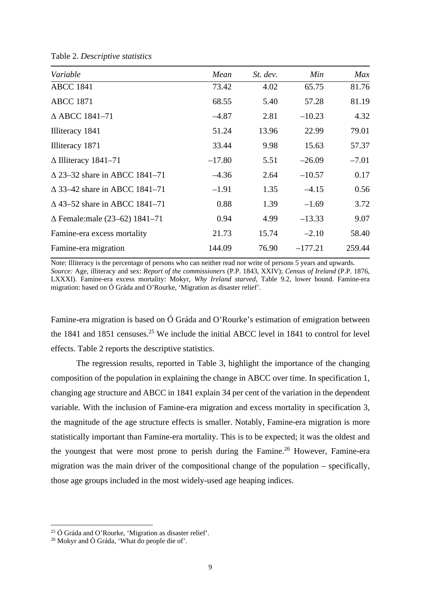| Variable                                | Mean     | $St.$ dev. | Min       | Max     |
|-----------------------------------------|----------|------------|-----------|---------|
| <b>ABCC 1841</b>                        | 73.42    | 4.02       | 65.75     | 81.76   |
| <b>ABCC 1871</b>                        | 68.55    | 5.40       | 57.28     | 81.19   |
| $\triangle$ ABCC 1841-71                | $-4.87$  | 2.81       | $-10.23$  | 4.32    |
| Illiteracy 1841                         | 51.24    | 13.96      | 22.99     | 79.01   |
| Illiteracy 1871                         | 33.44    | 9.98       | 15.63     | 57.37   |
| $\Delta$ Illiteracy 1841–71             | $-17.80$ | 5.51       | $-26.09$  | $-7.01$ |
| $\triangle$ 23–32 share in ABCC 1841–71 | $-4.36$  | 2.64       | $-10.57$  | 0.17    |
| $\triangle$ 33–42 share in ABCC 1841–71 | $-1.91$  | 1.35       | $-4.15$   | 0.56    |
| $\Delta$ 43–52 share in ABCC 1841–71    | 0.88     | 1.39       | $-1.69$   | 3.72    |
| $\Delta$ Female: male (23–62) 1841–71   | 0.94     | 4.99       | $-13.33$  | 9.07    |
| Famine-era excess mortality             | 21.73    | 15.74      | $-2.10$   | 58.40   |
| Famine-era migration                    | 144.09   | 76.90      | $-177.21$ | 259.44  |

Table 2. *Descriptive statistics* 

Note: Illiteracy is the percentage of persons who can neither read nor write of persons 5 years and upwards. *Source:* Age, illiteracy and sex: *Report of the commissioners* (P.P. 1843, XXIV); *Census of Ireland* (P.P. 1876, LXXXI). Famine-era excess mortality: Mokyr, *Why Ireland starved*, Table 9.2, lower bound. Famine-era migration: based on Ó Gráda and O'Rourke, 'Migration as disaster relief'.

Famine-era migration is based on Ó Gráda and O'Rourke's estimation of emigration between the 1841 and 1851 censuses.<sup>25</sup> We include the initial ABCC level in 1841 to control for level effects. Table 2 reports the descriptive statistics.

The regression results, reported in Table 3, highlight the importance of the changing composition of the population in explaining the change in ABCC over time. In specification 1, changing age structure and ABCC in 1841 explain 34 per cent of the variation in the dependent variable. With the inclusion of Famine-era migration and excess mortality in specification 3, the magnitude of the age structure effects is smaller. Notably, Famine-era migration is more statistically important than Famine-era mortality. This is to be expected; it was the oldest and the youngest that were most prone to perish during the Famine.26 However, Famine-era migration was the main driver of the compositional change of the population – specifically, those age groups included in the most widely-used age heaping indices.

<sup>&</sup>lt;sup>25</sup> Ó Gráda and O'Rourke, 'Migration as disaster relief'.<br><sup>26</sup> Mokyr and Ó Gráda, 'What do people die of'.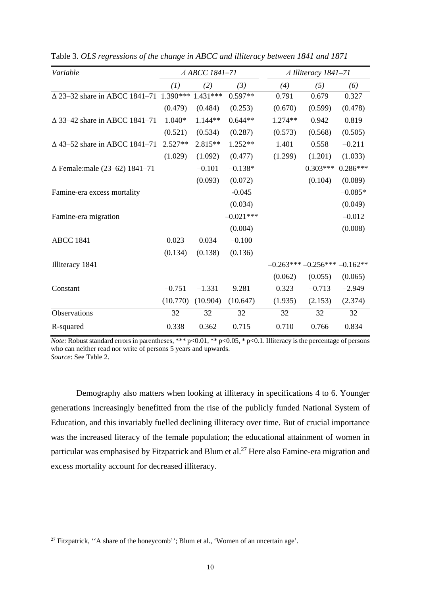| Variable                                |          | ∆ ABCC 1841-71 |             |         | $\triangle$ Illiteracy 1841-71 |            |
|-----------------------------------------|----------|----------------|-------------|---------|--------------------------------|------------|
|                                         | (1)      | (2)            | (3)         | (4)     | (5)                            | (6)        |
| ∆ 23–32 share in ABCC 1841–71 1.390***  |          | 1.431***       | $0.597**$   | 0.791   | 0.679                          | 0.327      |
|                                         | (0.479)  | (0.484)        | (0.253)     | (0.670) | (0.599)                        | (0.478)    |
| $\triangle$ 33–42 share in ABCC 1841–71 | 1.040*   | 1.144**        | $0.644**$   | 1.274** | 0.942                          | 0.819      |
|                                         | (0.521)  | (0.534)        | (0.287)     | (0.573) | (0.568)                        | (0.505)    |
| $\triangle$ 43–52 share in ABCC 1841–71 | 2.527**  | 2.815**        | $1.252**$   | 1.401   | 0.558                          | $-0.211$   |
|                                         | (1.029)  | (1.092)        | (0.477)     | (1.299) | (1.201)                        | (1.033)    |
| $\Delta$ Female: male (23–62) 1841–71   |          | $-0.101$       | $-0.138*$   |         | $0.303***$                     | $0.286***$ |
|                                         |          | (0.093)        | (0.072)     |         | (0.104)                        | (0.089)    |
| Famine-era excess mortality             |          |                | $-0.045$    |         |                                | $-0.085*$  |
|                                         |          |                | (0.034)     |         |                                | (0.049)    |
| Famine-era migration                    |          |                | $-0.021***$ |         |                                | $-0.012$   |
|                                         |          |                | (0.004)     |         |                                | (0.008)    |
| <b>ABCC 1841</b>                        | 0.023    | 0.034          | $-0.100$    |         |                                |            |
|                                         | (0.134)  | (0.138)        | (0.136)     |         |                                |            |
| Illiteracy 1841                         |          |                |             |         | $-0.263***-0.256***$           | $-0.162**$ |
|                                         |          |                |             | (0.062) | (0.055)                        | (0.065)    |
| Constant                                | $-0.751$ | $-1.331$       | 9.281       | 0.323   | $-0.713$                       | $-2.949$   |
|                                         | (10.770) | (10.904)       | (10.647)    | (1.935) | (2.153)                        | (2.374)    |
| Observations                            | 32       | 32             | 32          | 32      | 32                             | 32         |
| R-squared                               | 0.338    | 0.362          | 0.715       | 0.710   | 0.766                          | 0.834      |

Table 3. *OLS regressions of the change in ABCC and illiteracy between 1841 and 1871* 

*Note:* Robust standard errors in parentheses, \*\*\* p<0.01, \*\* p<0.05, \* p<0.1. Illiteracy is the percentage of persons who can neither read nor write of persons 5 years and upwards. *Source*: See Table 2.

Demography also matters when looking at illiteracy in specifications 4 to 6. Younger generations increasingly benefitted from the rise of the publicly funded National System of Education, and this invariably fuelled declining illiteracy over time. But of crucial importance was the increased literacy of the female population; the educational attainment of women in particular was emphasised by Fitzpatrick and Blum et al.<sup>27</sup> Here also Famine-era migration and excess mortality account for decreased illiteracy.

<sup>&</sup>lt;sup>27</sup> Fitzpatrick, "A share of the honeycomb"; Blum et al., 'Women of an uncertain age'.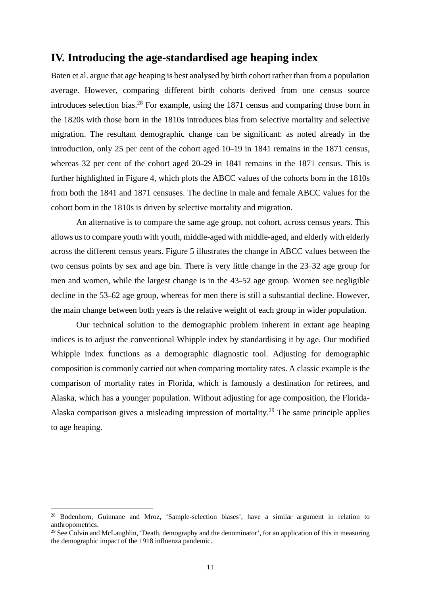### **IV. Introducing the age-standardised age heaping index**

Baten et al. argue that age heaping is best analysed by birth cohort rather than from a population average. However, comparing different birth cohorts derived from one census source introduces selection bias.<sup>28</sup> For example, using the  $1871$  census and comparing those born in the 1820s with those born in the 1810s introduces bias from selective mortality and selective migration. The resultant demographic change can be significant: as noted already in the introduction, only 25 per cent of the cohort aged 10–19 in 1841 remains in the 1871 census, whereas 32 per cent of the cohort aged 20–29 in 1841 remains in the 1871 census. This is further highlighted in Figure 4, which plots the ABCC values of the cohorts born in the 1810s from both the 1841 and 1871 censuses. The decline in male and female ABCC values for the cohort born in the 1810s is driven by selective mortality and migration.

An alternative is to compare the same age group, not cohort, across census years. This allows us to compare youth with youth, middle-aged with middle-aged, and elderly with elderly across the different census years. Figure 5 illustrates the change in ABCC values between the two census points by sex and age bin. There is very little change in the 23–32 age group for men and women, while the largest change is in the 43–52 age group. Women see negligible decline in the 53–62 age group, whereas for men there is still a substantial decline. However, the main change between both years is the relative weight of each group in wider population.

Our technical solution to the demographic problem inherent in extant age heaping indices is to adjust the conventional Whipple index by standardising it by age. Our modified Whipple index functions as a demographic diagnostic tool. Adjusting for demographic composition is commonly carried out when comparing mortality rates. A classic example is the comparison of mortality rates in Florida, which is famously a destination for retirees, and Alaska, which has a younger population. Without adjusting for age composition, the Florida-Alaska comparison gives a misleading impression of mortality.29 The same principle applies to age heaping.

<sup>&</sup>lt;sup>28</sup> Bodenhorn, Guinnane and Mroz, 'Sample-selection biases', have a similar argument in relation to anthropometrics.

<sup>&</sup>lt;sup>29</sup> See Colvin and McLaughlin, 'Death, demography and the denominator', for an application of this in measuring the demographic impact of the 1918 influenza pandemic.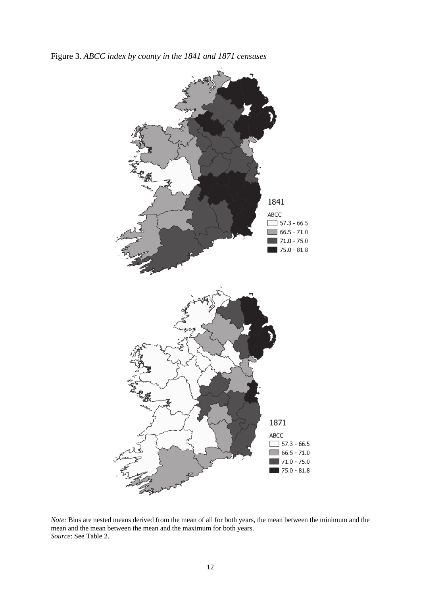Figure 3. *ABCC index by county in the 1841 and 1871 censuses* 



*Note:* Bins are nested means derived from the mean of all for both years, the mean between the minimum and the mean and the mean between the mean and the maximum for both years. *Source*: See Table 2.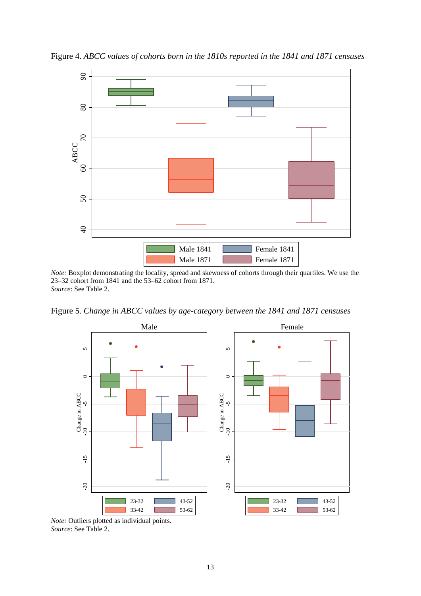

Figure 4. *ABCC values of cohorts born in the 1810s reported in the 1841 and 1871 censuses* 

*Note:* Boxplot demonstrating the locality, spread and skewness of cohorts through their quartiles. We use the 23–32 cohort from 1841 and the 53–62 cohort from 1871. *Source*: See Table 2.

Figure 5. *Change in ABCC values by age-category between the 1841 and 1871 censuses* 

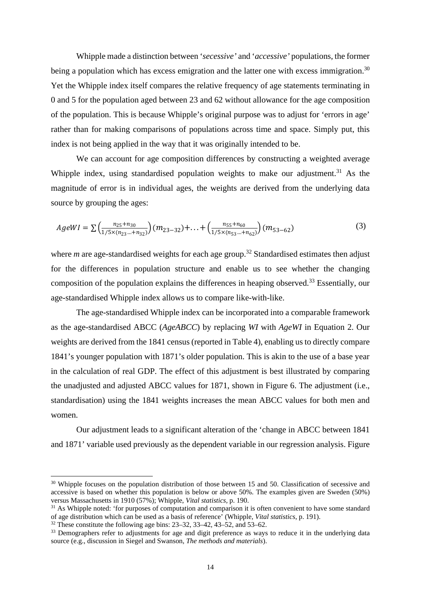Whipple made a distinction between '*secessive'* and '*accessive'* populations, the former being a population which has excess emigration and the latter one with excess immigration.<sup>30</sup> Yet the Whipple index itself compares the relative frequency of age statements terminating in 0 and 5 for the population aged between 23 and 62 without allowance for the age composition of the population. This is because Whipple's original purpose was to adjust for 'errors in age' rather than for making comparisons of populations across time and space. Simply put, this index is not being applied in the way that it was originally intended to be.

We can account for age composition differences by constructing a weighted average Whipple index, using standardised population weights to make our adjustment.<sup>31</sup> As the magnitude of error is in individual ages, the weights are derived from the underlying data source by grouping the ages:

$$
AgeWI = \sum \left( \frac{n_{25} + n_{30}}{1/5 \times (n_{23} \dots + n_{32})} \right) (m_{23-32}) + \dots + \left( \frac{n_{55} + n_{60}}{1/5 \times (n_{53} \dots + n_{62})} \right) (m_{53-62})
$$
 (3)

where *m* are age-standardised weights for each age group.<sup>32</sup> Standardised estimates then adjust for the differences in population structure and enable us to see whether the changing composition of the population explains the differences in heaping observed.<sup>33</sup> Essentially, our age-standardised Whipple index allows us to compare like-with-like.

The age-standardised Whipple index can be incorporated into a comparable framework as the age-standardised ABCC (*AgeABCC*) by replacing *WI* with *AgeWI* in Equation 2. Our weights are derived from the 1841 census (reported in Table 4), enabling us to directly compare 1841's younger population with 1871's older population. This is akin to the use of a base year in the calculation of real GDP. The effect of this adjustment is best illustrated by comparing the unadjusted and adjusted ABCC values for 1871, shown in Figure 6. The adjustment (i.e., standardisation) using the 1841 weights increases the mean ABCC values for both men and women.

Our adjustment leads to a significant alteration of the 'change in ABCC between 1841 and 1871' variable used previously as the dependent variable in our regression analysis. Figure

<sup>&</sup>lt;sup>30</sup> Whipple focuses on the population distribution of those between 15 and 50. Classification of secessive and accessive is based on whether this population is below or above 50%. The examples given are Sweden (50%) versus Massachusetts in 1910 (57%): Whipple. *Vital statistics*, p. 190.

<sup>&</sup>lt;sup>31</sup> As Whipple noted: 'for purposes of computation and comparison it is often convenient to have some standard of age distribution which can be used as a basis of reference' (Whipple, *Vital statistics*, p. 191). 32 These constitute the following age bins: 23–32, 33–42, 43–52, and 53–62.

<sup>&</sup>lt;sup>33</sup> Demographers refer to adjustments for age and digit preference as ways to reduce it in the underlying data source (e.g., discussion in Siegel and Swanson, *The methods and materials*).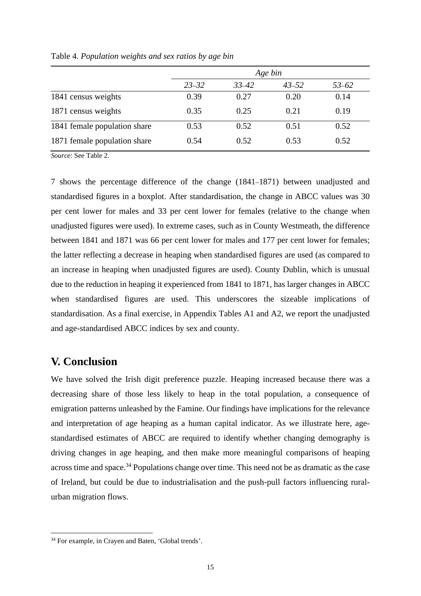|                              |           |           | Age bin   |           |
|------------------------------|-----------|-----------|-----------|-----------|
|                              | $23 - 32$ | $33 - 42$ | $43 - 52$ | $53 - 62$ |
| 1841 census weights          | 0.39      | 0.27      | 0.20      | 0.14      |
| 1871 census weights          | 0.35      | 0.25      | 0.21      | 0.19      |
| 1841 female population share | 0.53      | 0.52      | 0.51      | 0.52      |
| 1871 female population share | 0.54      | 0.52      | 0.53      | 0.52      |

Table 4. *Population weights and sex ratios by age bin* 

*Source*: See Table 2.

7 shows the percentage difference of the change (1841–1871) between unadjusted and standardised figures in a boxplot. After standardisation, the change in ABCC values was 30 per cent lower for males and 33 per cent lower for females (relative to the change when unadjusted figures were used). In extreme cases, such as in County Westmeath, the difference between 1841 and 1871 was 66 per cent lower for males and 177 per cent lower for females; the latter reflecting a decrease in heaping when standardised figures are used (as compared to an increase in heaping when unadjusted figures are used). County Dublin, which is unusual due to the reduction in heaping it experienced from 1841 to 1871, has larger changes in ABCC when standardised figures are used. This underscores the sizeable implications of standardisation. As a final exercise, in Appendix Tables A1 and A2, we report the unadjusted and age-standardised ABCC indices by sex and county.

## **V. Conclusion**

We have solved the Irish digit preference puzzle. Heaping increased because there was a decreasing share of those less likely to heap in the total population, a consequence of emigration patterns unleashed by the Famine. Our findings have implications for the relevance and interpretation of age heaping as a human capital indicator. As we illustrate here, agestandardised estimates of ABCC are required to identify whether changing demography is driving changes in age heaping, and then make more meaningful comparisons of heaping across time and space.<sup>34</sup> Populations change over time. This need not be as dramatic as the case of Ireland, but could be due to industrialisation and the push-pull factors influencing ruralurban migration flows.

<sup>34</sup> For example, in Crayen and Baten, 'Global trends'.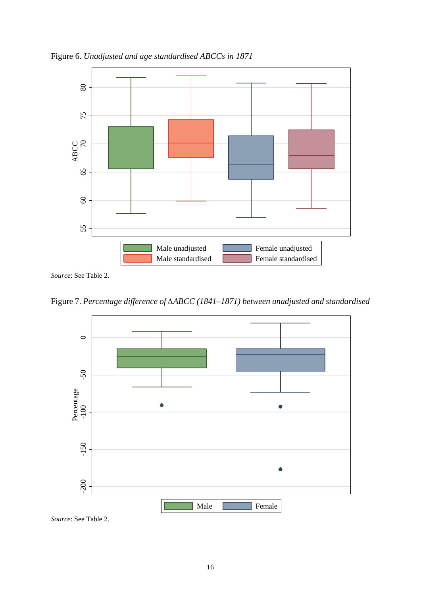

Figure 6. *Unadjusted and age standardised ABCCs in 1871* 

*Source*: See Table 2.

Figure 7. *Percentage difference of ∆ABCC (1841–1871) between unadjusted and standardised* 

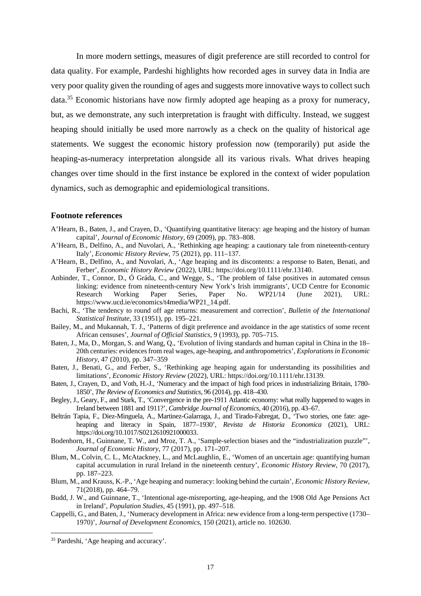In more modern settings, measures of digit preference are still recorded to control for data quality. For example, Pardeshi highlights how recorded ages in survey data in India are very poor quality given the rounding of ages and suggests more innovative ways to collect such data.35 Economic historians have now firmly adopted age heaping as a proxy for numeracy, but, as we demonstrate, any such interpretation is fraught with difficulty. Instead, we suggest heaping should initially be used more narrowly as a check on the quality of historical age statements. We suggest the economic history profession now (temporarily) put aside the heaping-as-numeracy interpretation alongside all its various rivals. What drives heaping changes over time should in the first instance be explored in the context of wider population dynamics, such as demographic and epidemiological transitions.

#### **Footnote references**

- A'Hearn, B., Baten, J., and Crayen, D., 'Quantifying quantitative literacy: age heaping and the history of human capital', *Journal of Economic History*, 69 (2009), pp. 783–808.
- A'Hearn, B., Delfino, A., and Nuvolari, A., 'Rethinking age heaping: a cautionary tale from nineteenth-century Italy', *Economic History Review*, 75 (2021), pp. 111–137.
- A'Hearn, B., Delfino, A., and Nuvolari, A., 'Age heaping and its discontents: a response to Baten, Benati, and Ferber', *Economic History Review* (2022), URL: https://doi.org/10.1111/ehr.13140.
- Anbinder, T., Connor, D., Ó Gráda, C., and Wegge, S., 'The problem of false positives in automated census linking: evidence from nineteenth-century New York's Irish immigrants', UCD Centre for Economic<br>Research Working Paper Series, Paper No. WP21/14 (June 2021). URL: Research Working Paper Series, Paper No. WP21/14 (June 2021), URL: https://www.ucd.ie/economics/t4media/WP21\_14.pdf.
- Bachi, R., 'The tendency to round off age returns: measurement and correction', *Bulletin of the International Statistical Institute*, 33 (1951), pp. 195–221.
- Bailey, M., and Mukannah, T. J., 'Patterns of digit preference and avoidance in the age statistics of some recent African censuses', *Journal of Official Statistics*, 9 (1993), pp. 705–715.
- Baten, J., Ma, D., Morgan, S. and Wang, Q., 'Evolution of living standards and human capital in China in the 18– 20th centuries: evidences from real wages, age-heaping, and anthropometrics', *Explorations in Economic History*, 47 (2010), pp. 347–359
- Baten, J., Benati, G., and Ferber, S., 'Rethinking age heaping again for understanding its possibilities and limitations', *Economic History Review* (2022), URL: https://doi.org/10.1111/ehr.13139.
- Baten, J., Crayen, D., and Voth, H.-J., 'Numeracy and the impact of high food prices in industrializing Britain, 1780- 1850', *The Review of Economics and Statistics*, 96 (2014), pp. 418–430.
- Begley, J., Geary, F., and Stark, T., 'Convergence in the pre-1911 Atlantic economy: what really happened to wages in Ireland between 1881 and 1911?', *Cambridge Journal of Economics*, 40 (2016), pp. 43–67.
- Beltrán Tapia, F., Diez-Minguela, A., Martinez-Galarraga, J., and Tirado-Fabregat, D., 'Two stories, one fate: ageheaping and literacy in Spain, 1877–1930', *Revista de Historia Economica* (2021), URL: https://doi.org/10.1017/S0212610921000033.
- Bodenhorn, H., Guinnane, T. W., and Mroz, T. A., 'Sample-selection biases and the "industrialization puzzle"', *Journal of Economic History*, 77 (2017), pp. 171–207.
- Blum, M., Colvin, C. L., McAtackney, L., and McLaughlin, E., 'Women of an uncertain age: quantifying human capital accumulation in rural Ireland in the nineteenth century', *Economic History Review*, 70 (2017), pp. 187–223.
- Blum, M., and Krauss, K.-P., 'Age heaping and numeracy: looking behind the curtain', *Economic History Review*, 71(2018), pp. 464–79.
- Budd, J. W., and Guinnane, T., 'Intentional age-misreporting, age-heaping, and the 1908 Old Age Pensions Act in Ireland', *Population Studies*, 45 (1991), pp. 497–518.
- Cappelli, G., and Baten, J., 'Numeracy development in Africa: new evidence from a long-term perspective (1730– 1970)', *Journal of Development Economics*, 150 (2021), article no. 102630.

<sup>35</sup> Pardeshi, 'Age heaping and accuracy'.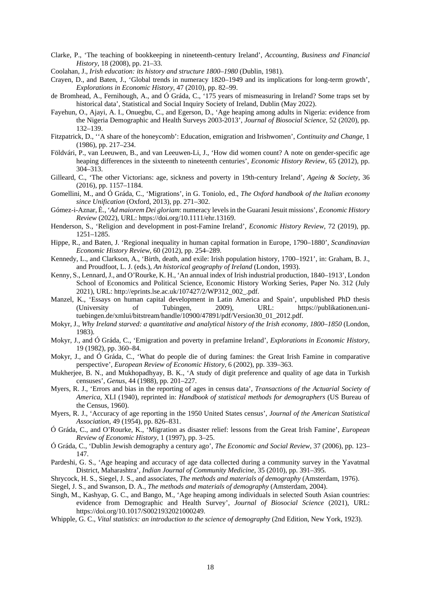- Clarke, P., 'The teaching of bookkeeping in nineteenth-century Ireland', *Accounting, Business and Financial History*, 18 (2008), pp. 21–33.
- Coolahan, J., *Irish education: its history and structure 1800–1980* (Dublin, 1981).
- Crayen, D., and Baten, J., 'Global trends in numeracy 1820–1949 and its implications for long-term growth', *Explorations in Economic History*, 47 (2010), pp. 82–99.
- de Bromhead, A., Fernihough, A., and Ó Gráda, C., '175 years of mismeasuring in Ireland? Some traps set by historical data', Statistical and Social Inquiry Society of Ireland, Dublin (May 2022).
- Fayehun, O., Ajayi, A. I., Onuegbu, C., and Egerson, D., 'Age heaping among adults in Nigeria: evidence from the Nigeria Demographic and Health Surveys 2003-2013', *Journal of Biosocial Science*, 52 (2020), pp. 132–139.
- Fitzpatrick, D., ''A share of the honeycomb': Education, emigration and Irishwomen', *Continuity and Change*, 1 (1986), pp. 217–234.
- Földvári, P., van Leeuwen, B., and van Leeuwen-Li, J., 'How did women count? A note on gender-specific age heaping differences in the sixteenth to nineteenth centuries', *Economic History Review*, 65 (2012), pp. 304–313.
- Gilleard, C., 'The other Victorians: age, sickness and poverty in 19th-century Ireland', *Ageing & Society*, 36 (2016), pp. 1157–1184.
- Gomellini, M., and Ó Gráda, C., 'Migrations', in G. Toniolo, ed., *The Oxford handbook of the Italian economy since Unification* (Oxford, 2013), pp. 271–302.
- Gómez-i-Aznar, È., '*Ad maiorem Dei gloriam*: numeracy levels in the Guarani Jesuit missions', *Economic History Review* (2022), URL: https://doi.org/10.1111/ehr.13169.
- Henderson, S., 'Religion and development in post-Famine Ireland', *Economic History Review*, 72 (2019), pp. 1251–1285.
- Hippe, R., and Baten, J. 'Regional inequality in human capital formation in Europe, 1790–1880', *Scandinavian Economic History Review*, 60 (2012), pp. 254–289.
- Kennedy, L., and Clarkson, A., 'Birth, death, and exile: Irish population history, 1700–1921', in: Graham, B. J., and Proudfoot, L. J. (eds.), *An historical geography of Ireland* (London, 1993).
- Kenny, S., Lennard, J., and O'Rourke, K. H., 'An annual index of Irish industrial production, 1840–1913', London School of Economics and Political Science, Economic History Working Series, Paper No. 312 (July 2021), URL: http://eprints.lse.ac.uk/107427/2/WP312\_002\_.pdf.
- Manzel, K., 'Essays on human capital development in Latin America and Spain', unpublished PhD thesis (University of Tubingen, 2009), URL: https://publikationen.unituebingen.de/xmlui/bitstream/handle/10900/47891/pdf/Version30\_01\_2012.pdf.
- Mokyr, J., *Why Ireland starved: a quantitative and analytical history of the Irish economy, 1800–1850* (London, 1983).
- Mokyr, J., and Ó Gráda, C., 'Emigration and poverty in prefamine Ireland', *Explorations in Economic History*, 19 (1982), pp. 360–84.
- Mokyr, J., and Ó Gráda, C., 'What do people die of during famines: the Great Irish Famine in comparative perspective', *European Review of Economic History*, 6 (2002), pp. 339–363.
- Mukherjee, B. N., and Mukhopadhyay, B. K., 'A study of digit preference and quality of age data in Turkish censuses', *Genus*, 44 (1988), pp. 201–227.
- Myers, R. J., 'Errors and bias in the reporting of ages in census data', *Transactions of the Actuarial Society of America*, XLI (1940), reprinted in: *Handbook of statistical methods for demographers* (US Bureau of the Census, 1960).
- Myers, R. J., 'Accuracy of age reporting in the 1950 United States census', *Journal of the American Statistical Association*, 49 (1954), pp. 826–831.
- Ó Gráda, C., and O'Rourke, K., 'Migration as disaster relief: lessons from the Great Irish Famine', *European Review of Economic History*, 1 (1997), pp. 3–25.
- Ó Gráda, C., 'Dublin Jewish demography a century ago', *The Economic and Social Review*, 37 (2006), pp. 123– 147.
- Pardeshi, G. S., 'Age heaping and accuracy of age data collected during a community survey in the Yavatmal District, Maharashtra', *Indian Journal of Community Medicine*, 35 (2010), pp. 391–395.
- Shrycock, H. S., Siegel, J. S., and associates, *The methods and materials of demography* (Amsterdam, 1976).
- Siegel, J. S., and Swanson, D. A., *The methods and materials of demography* (Amsterdam, 2004).
- Singh, M., Kashyap, G. C., and Bango, M., 'Age heaping among individuals in selected South Asian countries: evidence from Demographic and Health Survey', *Journal of Biosocial Science* (2021), URL: https://doi.org/10.1017/S0021932021000249.
- Whipple, G. C., *Vital statistics: an introduction to the science of demography* (2nd Edition, New York, 1923).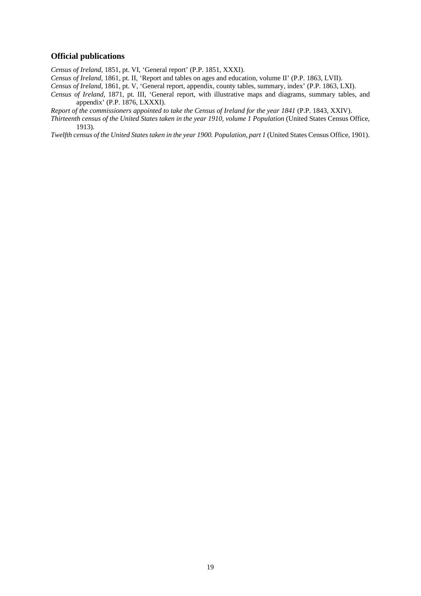#### **Official publications**

*Census of Ireland*, 1851, pt. VI, 'General report' (P.P. 1851, XXXI).

*Census of Ireland*, 1861, pt. II, 'Report and tables on ages and education, volume II' (P.P. 1863, LVII).

*Census of Ireland*, 1861, pt. V, 'General report, appendix, county tables, summary, index' (P.P. 1863, LXI).

*Census of Ireland*, 1871, pt. III, 'General report, with illustrative maps and diagrams, summary tables, and appendix' (P.P. 1876, LXXXI).

*Report of the commissioners appointed to take the Census of Ireland for the year 1841* (P.P. 1843, XXIV).

*Thirteenth census of the United States taken in the year 1910, volume 1 Population (United States Census Office,* 1913).

*Twelfth census of the United States taken in the year 1900. Population, part 1 (United States Census Office, 1901).*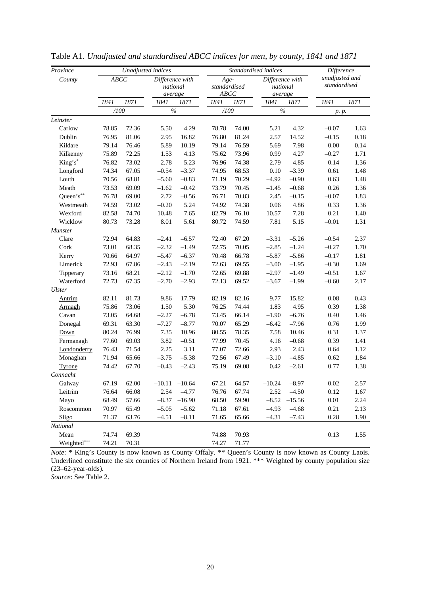| Province       |       |       | Unadjusted indices                     |          |                              |       | Standardised indices                   |          | <b>Difference</b>              |      |
|----------------|-------|-------|----------------------------------------|----------|------------------------------|-------|----------------------------------------|----------|--------------------------------|------|
| County         | ABCC  |       | Difference with<br>national<br>average |          | Age-<br>standardised<br>ABCC |       | Difference with<br>national<br>average |          | unadjusted and<br>standardised |      |
|                | 1841  | 1871  | 1841                                   | 1871     | 1841                         | 1871  | 1841                                   | 1871     | 1841                           | 1871 |
|                | /100  |       | $\%$                                   |          | /100                         |       | $\%$                                   |          | p. p.                          |      |
| Leinster       |       |       |                                        |          |                              |       |                                        |          |                                |      |
| Carlow         | 78.85 | 72.36 | 5.50                                   | 4.29     | 78.78                        | 74.00 | 5.21                                   | 4.32     | $-0.07$                        | 1.63 |
| Dublin         | 76.95 | 81.06 | 2.95                                   | 16.82    | 76.80                        | 81.24 | 2.57                                   | 14.52    | $-0.15$                        | 0.18 |
| Kildare        | 79.14 | 76.46 | 5.89                                   | 10.19    | 79.14                        | 76.59 | 5.69                                   | 7.98     | 0.00                           | 0.14 |
| Kilkenny       | 75.89 | 72.25 | 1.53                                   | 4.13     | 75.62                        | 73.96 | 0.99                                   | 4.27     | $-0.27$                        | 1.71 |
| King's*        | 76.82 | 73.02 | 2.78                                   | 5.23     | 76.96                        | 74.38 | 2.79                                   | 4.85     | 0.14                           | 1.36 |
| Longford       | 74.34 | 67.05 | $-0.54$                                | $-3.37$  | 74.95                        | 68.53 | 0.10                                   | $-3.39$  | 0.61                           | 1.48 |
| Louth          | 70.56 | 68.81 | $-5.60$                                | $-0.83$  | 71.19                        | 70.29 | $-4.92$                                | $-0.90$  | 0.63                           | 1.48 |
| Meath          | 73.53 | 69.09 | $-1.62$                                | $-0.42$  | 73.79                        | 70.45 | $-1.45$                                | $-0.68$  | 0.26                           | 1.36 |
| Queen's**      | 76.78 | 69.00 | 2.72                                   | $-0.56$  | 76.71                        | 70.83 | 2.45                                   | $-0.15$  | $-0.07$                        | 1.83 |
| Westmeath      | 74.59 | 73.02 | $-0.20$                                | 5.24     | 74.92                        | 74.38 | $0.06\,$                               | 4.86     | 0.33                           | 1.36 |
| Wexford        | 82.58 | 74.70 | 10.48                                  | 7.65     | 82.79                        | 76.10 | 10.57                                  | 7.28     | 0.21                           | 1.40 |
| Wicklow        | 80.73 | 73.28 | 8.01                                   | 5.61     | 80.72                        | 74.59 | 7.81                                   | 5.15     | $-0.01$                        | 1.31 |
| <b>Munster</b> |       |       |                                        |          |                              |       |                                        |          |                                |      |
| Clare          | 72.94 | 64.83 | $-2.41$                                | $-6.57$  | 72.40                        | 67.20 | $-3.31$                                | $-5.26$  | $-0.54$                        | 2.37 |
| Cork           | 73.01 | 68.35 | $-2.32$                                | $-1.49$  | 72.75                        | 70.05 | $-2.85$                                | $-1.24$  | $-0.27$                        | 1.70 |
| Kerry          | 70.66 | 64.97 | $-5.47$                                | $-6.37$  | 70.48                        | 66.78 | $-5.87$                                | $-5.86$  | $-0.17$                        | 1.81 |
| Limerick       | 72.93 | 67.86 | $-2.43$                                | $-2.19$  | 72.63                        | 69.55 | $-3.00$                                | $-1.95$  | $-0.30$                        | 1.69 |
| Tipperary      | 73.16 | 68.21 | $-2.12$                                | $-1.70$  | 72.65                        | 69.88 | $-2.97$                                | $-1.49$  | $-0.51$                        | 1.67 |
| Waterford      | 72.73 | 67.35 | $-2.70$                                | $-2.93$  | 72.13                        | 69.52 | $-3.67$                                | $-1.99$  | $-0.60$                        | 2.17 |
| Ulster         |       |       |                                        |          |                              |       |                                        |          |                                |      |
| <b>Antrim</b>  | 82.11 | 81.73 | 9.86                                   | 17.79    | 82.19                        | 82.16 | 9.77                                   | 15.82    | 0.08                           | 0.43 |
| <b>Armagh</b>  | 75.86 | 73.06 | 1.50                                   | 5.30     | 76.25                        | 74.44 | 1.83                                   | 4.95     | 0.39                           | 1.38 |
| Cavan          | 73.05 | 64.68 | $-2.27$                                | $-6.78$  | 73.45                        | 66.14 | $-1.90$                                | $-6.76$  | 0.40                           | 1.46 |
| Donegal        | 69.31 | 63.30 | $-7.27$                                | $-8.77$  | 70.07                        | 65.29 | $-6.42$                                | $-7.96$  | 0.76                           | 1.99 |
| Down           | 80.24 | 76.99 | 7.35                                   | 10.96    | 80.55                        | 78.35 | 7.58                                   | 10.46    | 0.31                           | 1.37 |
| Fermanagh      | 77.60 | 69.03 | 3.82                                   | $-0.51$  | 77.99                        | 70.45 | 4.16                                   | $-0.68$  | 0.39                           | 1.41 |
| Londonderry    | 76.43 | 71.54 | 2.25                                   | 3.11     | 77.07                        | 72.66 | 2.93                                   | 2.43     | 0.64                           | 1.12 |
| Monaghan       | 71.94 | 65.66 | $-3.75$                                | $-5.38$  | 72.56                        | 67.49 | $-3.10$                                | $-4.85$  | 0.62                           | 1.84 |
| Tyrone         | 74.42 | 67.70 | $-0.43$                                | $-2.43$  | 75.19                        | 69.08 | $0.42\,$                               | $-2.61$  | 0.77                           | 1.38 |
| Connacht       |       |       |                                        |          |                              |       |                                        |          |                                |      |
| Galway         | 67.19 | 62.00 | $-10.11$                               | $-10.64$ | 67.21                        | 64.57 | $-10.24$                               | $-8.97$  | 0.02                           | 2.57 |
| Leitrim        | 76.64 | 66.08 | 2.54                                   | $-4.77$  | 76.76                        | 67.74 | 2.52                                   | $-4.50$  | 0.12                           | 1.67 |
| Mayo           | 68.49 | 57.66 | $-8.37$                                | $-16.90$ | 68.50                        | 59.90 | $-8.52$                                | $-15.56$ | $0.01\,$                       | 2.24 |
| Roscommon      | 70.97 | 65.49 | $-5.05$                                | $-5.62$  | 71.18                        | 67.61 | $-4.93$                                | $-4.68$  | 0.21                           | 2.13 |
| Sligo          | 71.37 | 63.76 | $-4.51$                                | $-8.11$  | 71.65                        | 65.66 | $-4.31$                                | $-7.43$  | 0.28                           | 1.90 |
| National       |       |       |                                        |          |                              |       |                                        |          |                                |      |
| Mean           | 74.74 | 69.39 |                                        |          | 74.88                        | 70.93 |                                        |          | 0.13                           | 1.55 |
| Weighted***    | 74.21 | 70.31 |                                        |          | 74.27                        | 71.77 |                                        |          |                                |      |

Table A1. *Unadjusted and standardised ABCC indices for men, by county, 1841 and 1871* 

*Note*: \* King's County is now known as County Offaly. \*\* Queen's County is now known as County Laois. Underlined constitute the six counties of Northern Ireland from 1921. \*\*\* Weighted by county population size (23–62-year-olds).